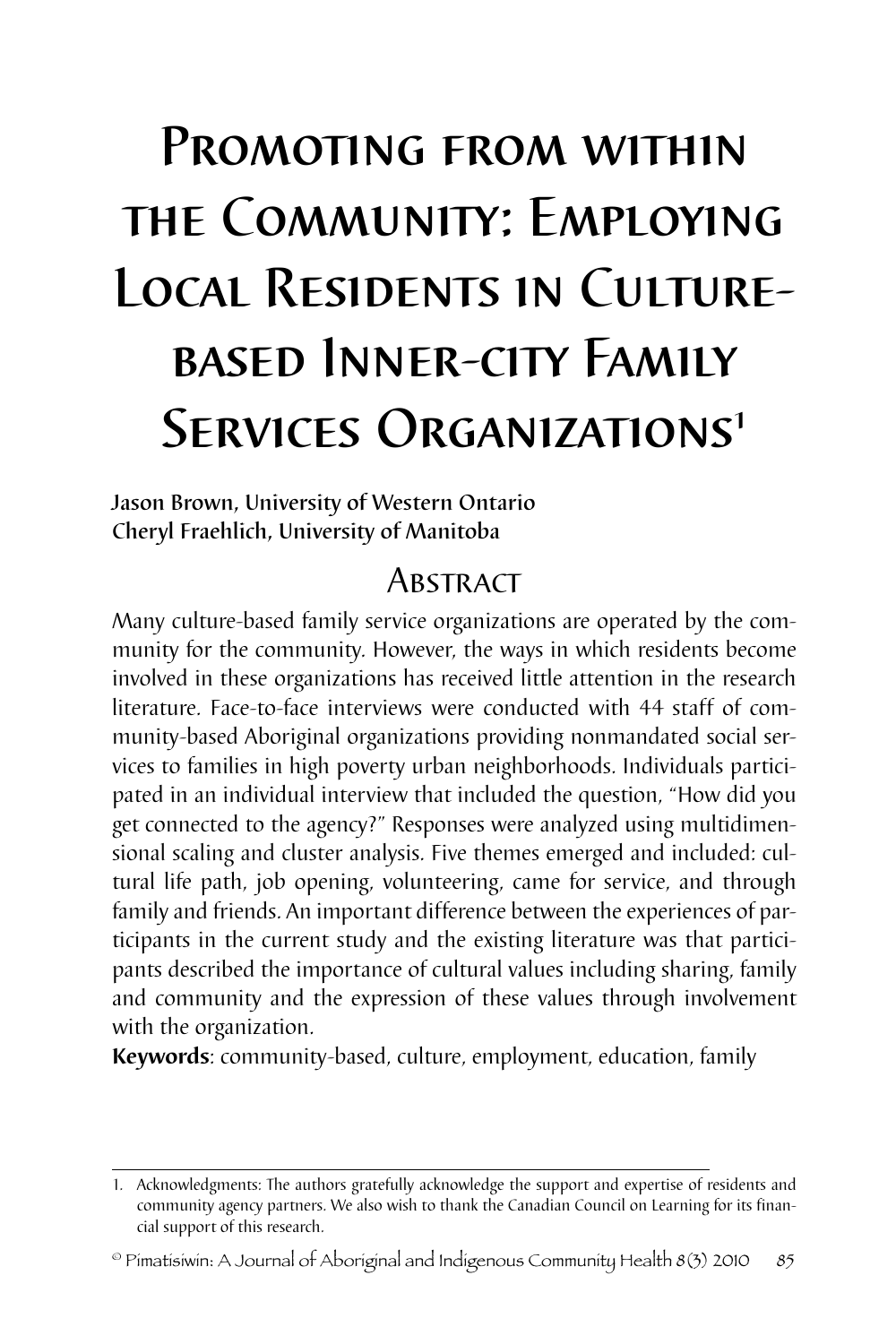# Promoting from within the Community: Employing Local Residents in Culturebased Inner-city Family SERVICES ORGANIZATIONS<sup>1</sup>

Jason Brown, University of Western Ontario Cheryl Fraehlich, University of Manitoba

# **Abstract**

Many culture-based family service organizations are operated by the community for the community. However, the ways in which residents become involved in these organizations has received little attention in the research literature. Face-to-face interviews were conducted with 44 staff of community-based Aboriginal organizations providing nonmandated social services to families in high poverty urban neighborhoods. Individuals participated in an individual interview that included the question, "How did you get connected to the agency?" Responses were analyzed using multidimensional scaling and cluster analysis. Five themes emerged and included: cultural life path, job opening, volunteering, came for service, and through family and friends. An important difference between the experiences of participants in the current study and the existing literature was that participants described the importance of cultural values including sharing, family and community and the expression of these values through involvement with the organization.

**Keywords**: community-based, culture, employment, education, family

<sup>1.</sup> Acknowledgments: The authors gratefully acknowledge the support and expertise of residents and community agency partners. We also wish to thank the Canadian Council on Learning for its financial support of this research.

 $^{\circ}$  Pimatisiwin: A Journal of Aboriginal and Indigenous Community Health 8(3) 2010  $85$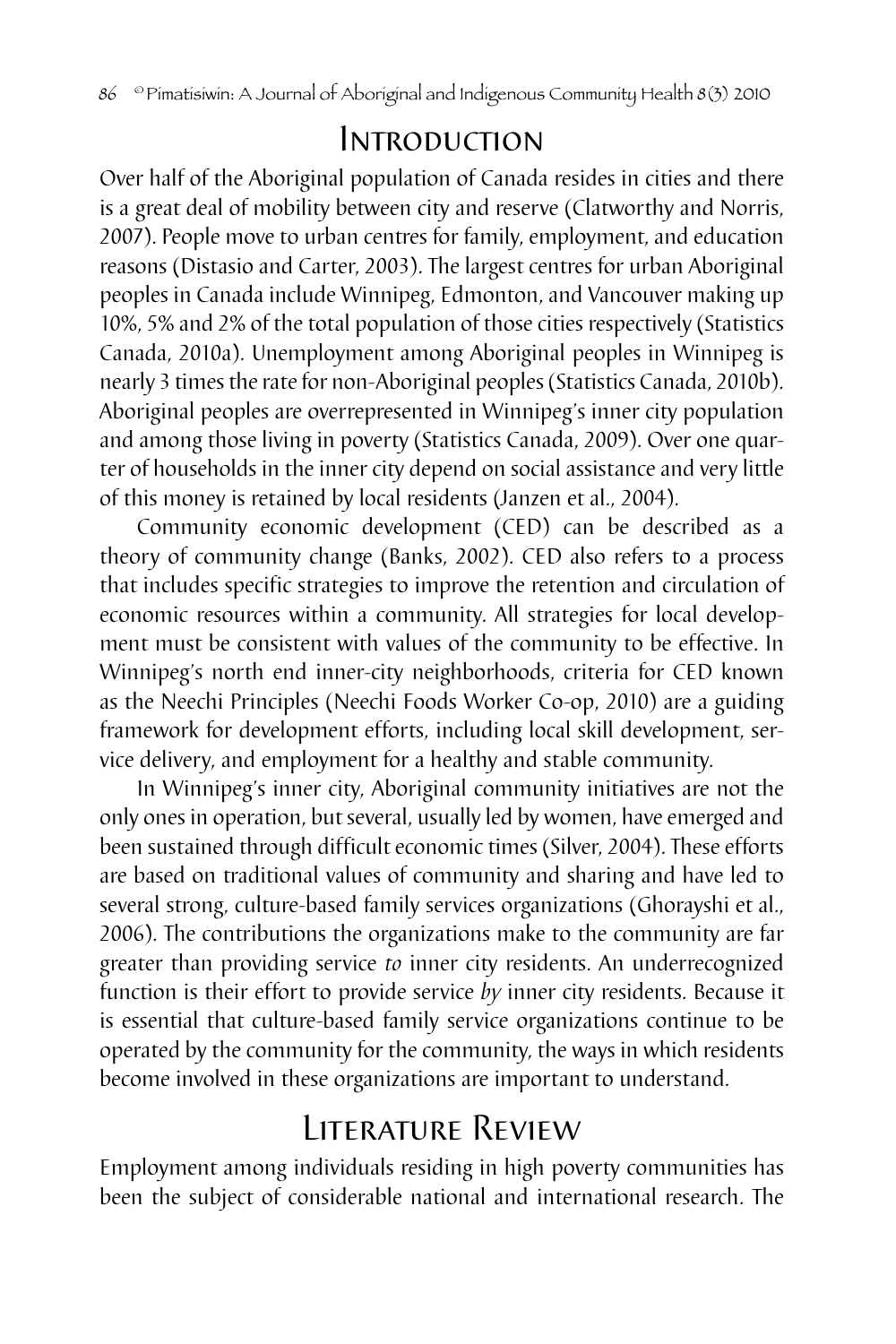# Introduction

Over half of the Aboriginal population of Canada resides in cities and there is a great deal of mobility between city and reserve (Clatworthy and Norris, 2007). People move to urban centres for family, employment, and education reasons (Distasio and Carter, 2003). The largest centres for urban Aboriginal peoples in Canada include Winnipeg, Edmonton, and Vancouver making up 10%, 5% and 2% of the total population of those cities respectively (Statistics Canada, 2010a). Unemployment among Aboriginal peoples in Winnipeg is nearly 3 times the rate for non-Aboriginal peoples (Statistics Canada, 2010b). Aboriginal peoples are overrepresented in Winnipeg's inner city population and among those living in poverty (Statistics Canada, 2009). Over one quarter of households in the inner city depend on social assistance and very little of this money is retained by local residents (Janzen et al., 2004).

Community economic development (CED) can be described as a theory of community change (Banks, 2002). CED also refers to a process that includes specific strategies to improve the retention and circulation of economic resources within a community. All strategies for local development must be consistent with values of the community to be effective. In Winnipeg's north end inner-city neighborhoods, criteria for CED known as the Neechi Principles (Neechi Foods Worker Co-op, 2010) are a guiding framework for development efforts, including local skill development, service delivery, and employment for a healthy and stable community.

In Winnipeg's inner city, Aboriginal community initiatives are not the only ones in operation, but several, usually led by women, have emerged and been sustained through difficult economic times (Silver, 2004). These efforts are based on traditional values of community and sharing and have led to several strong, culture-based family services organizations (Ghorayshi et al., 2006). The contributions the organizations make to the community are far greater than providing service *to* inner city residents. An underrecognized function is their effort to provide service *by* inner city residents. Because it is essential that culture-based family service organizations continue to be operated by the community for the community, the ways in which residents become involved in these organizations are important to understand.

# Literature Review

Employment among individuals residing in high poverty communities has been the subject of considerable national and international research. The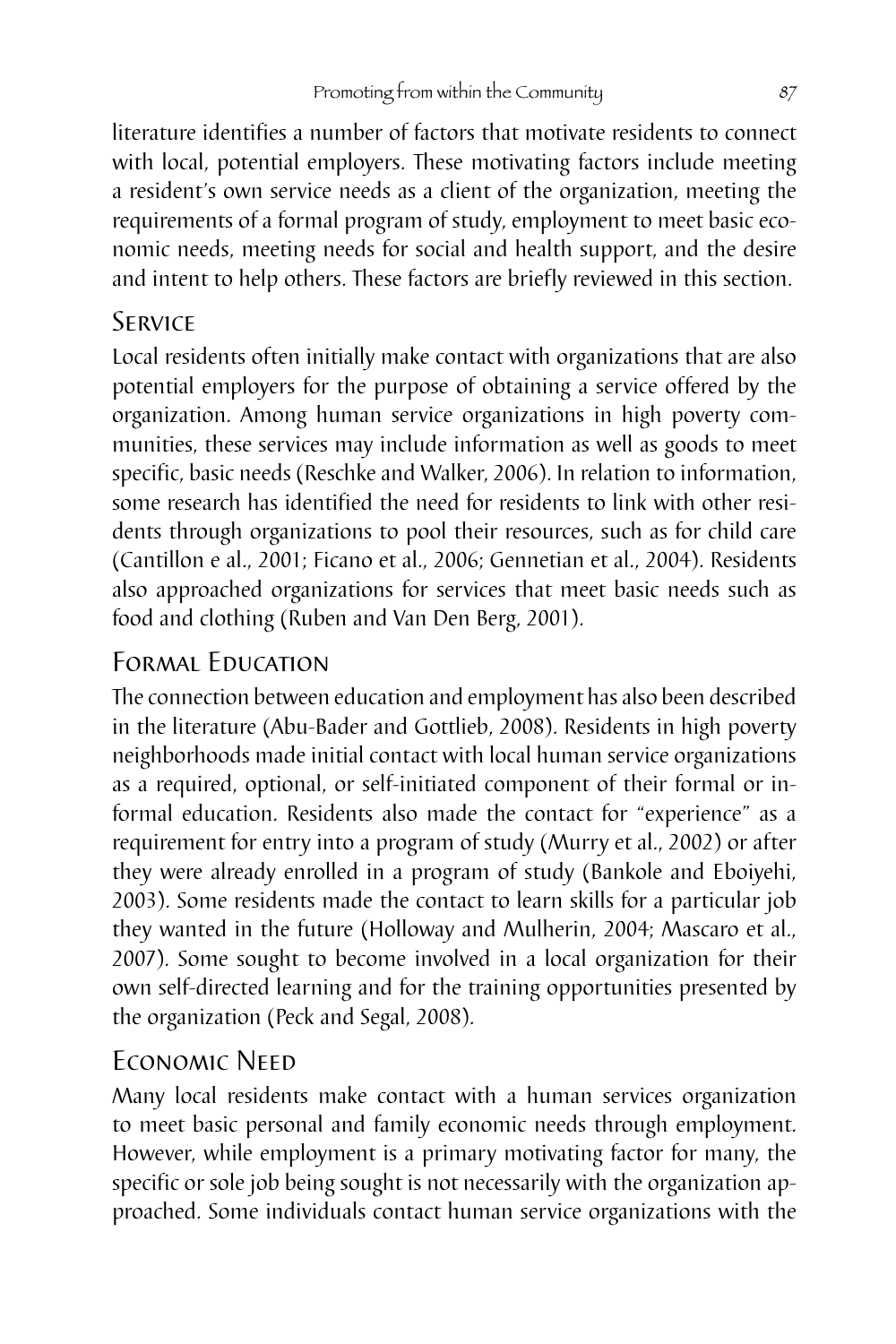literature identifies a number of factors that motivate residents to connect with local, potential employers. These motivating factors include meeting a resident's own service needs as a client of the organization, meeting the requirements of a formal program of study, employment to meet basic economic needs, meeting needs for social and health support, and the desire and intent to help others. These factors are briefly reviewed in this section.

## **SERVICE**

Local residents often initially make contact with organizations that are also potential employers for the purpose of obtaining a service offered by the organization. Among human service organizations in high poverty communities, these services may include information as well as goods to meet specific, basic needs (Reschke and Walker, 2006). In relation to information, some research has identified the need for residents to link with other residents through organizations to pool their resources, such as for child care (Cantillon e al., 2001; Ficano et al., 2006; Gennetian et al., 2004). Residents also approached organizations for services that meet basic needs such as food and clothing (Ruben and Van Den Berg, 2001).

# Formal Education

The connection between education and employment has also been described in the literature (Abu-Bader and Gottlieb, 2008). Residents in high poverty neighborhoods made initial contact with local human service organizations as a required, optional, or self-initiated component of their formal or informal education. Residents also made the contact for "experience" as a requirement for entry into a program of study (Murry et al., 2002) or after they were already enrolled in a program of study (Bankole and Eboiyehi, 2003). Some residents made the contact to learn skills for a particular job they wanted in the future (Holloway and Mulherin, 2004; Mascaro et al., 2007). Some sought to become involved in a local organization for their own self-directed learning and for the training opportunities presented by the organization (Peck and Segal, 2008).

## Economic Need

Many local residents make contact with a human services organization to meet basic personal and family economic needs through employment. However, while employment is a primary motivating factor for many, the specific or sole job being sought is not necessarily with the organization approached. Some individuals contact human service organizations with the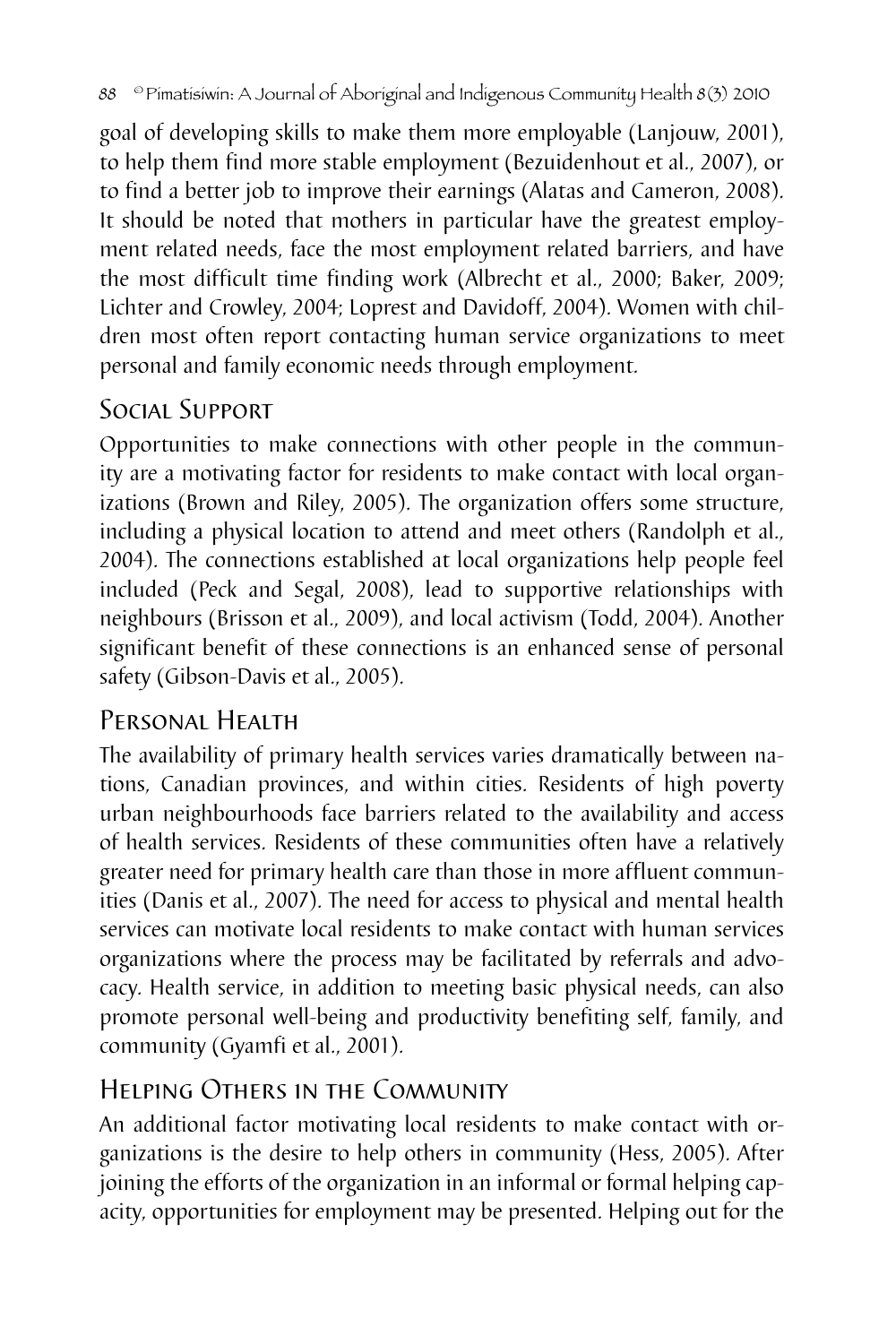goal of developing skills to make them more employable (Lanjouw, 2001), to help them find more stable employment (Bezuidenhout et al., 2007), or to find a better job to improve their earnings (Alatas and Cameron, 2008). It should be noted that mothers in particular have the greatest employment related needs, face the most employment related barriers, and have the most difficult time finding work (Albrecht et al., 2000; Baker, 2009; Lichter and Crowley, 2004; Loprest and Davidoff, 2004). Women with children most often report contacting human service organizations to meet personal and family economic needs through employment.

## Social Support

Opportunities to make connections with other people in the community are a motivating factor for residents to make contact with local organizations (Brown and Riley, 2005). The organization offers some structure, including a physical location to attend and meet others (Randolph et al., 2004). The connections established at local organizations help people feel included (Peck and Segal, 2008), lead to supportive relationships with neighbours (Brisson et al., 2009), and local activism (Todd, 2004). Another significant benefit of these connections is an enhanced sense of personal safety (Gibson-Davis et al., 2005).

# Personal Health

The availability of primary health services varies dramatically between nations, Canadian provinces, and within cities. Residents of high poverty urban neighbourhoods face barriers related to the availability and access of health services. Residents of these communities often have a relatively greater need for primary health care than those in more affluent communities (Danis et al., 2007). The need for access to physical and mental health services can motivate local residents to make contact with human services organizations where the process may be facilitated by referrals and advocacy. Health service, in addition to meeting basic physical needs, can also promote personal well-being and productivity benefiting self, family, and community (Gyamfi et al., 2001).

# Helping Others in the Community

An additional factor motivating local residents to make contact with organizations is the desire to help others in community (Hess, 2005). After joining the efforts of the organization in an informal or formal helping capacity, opportunities for employment may be presented. Helping out for the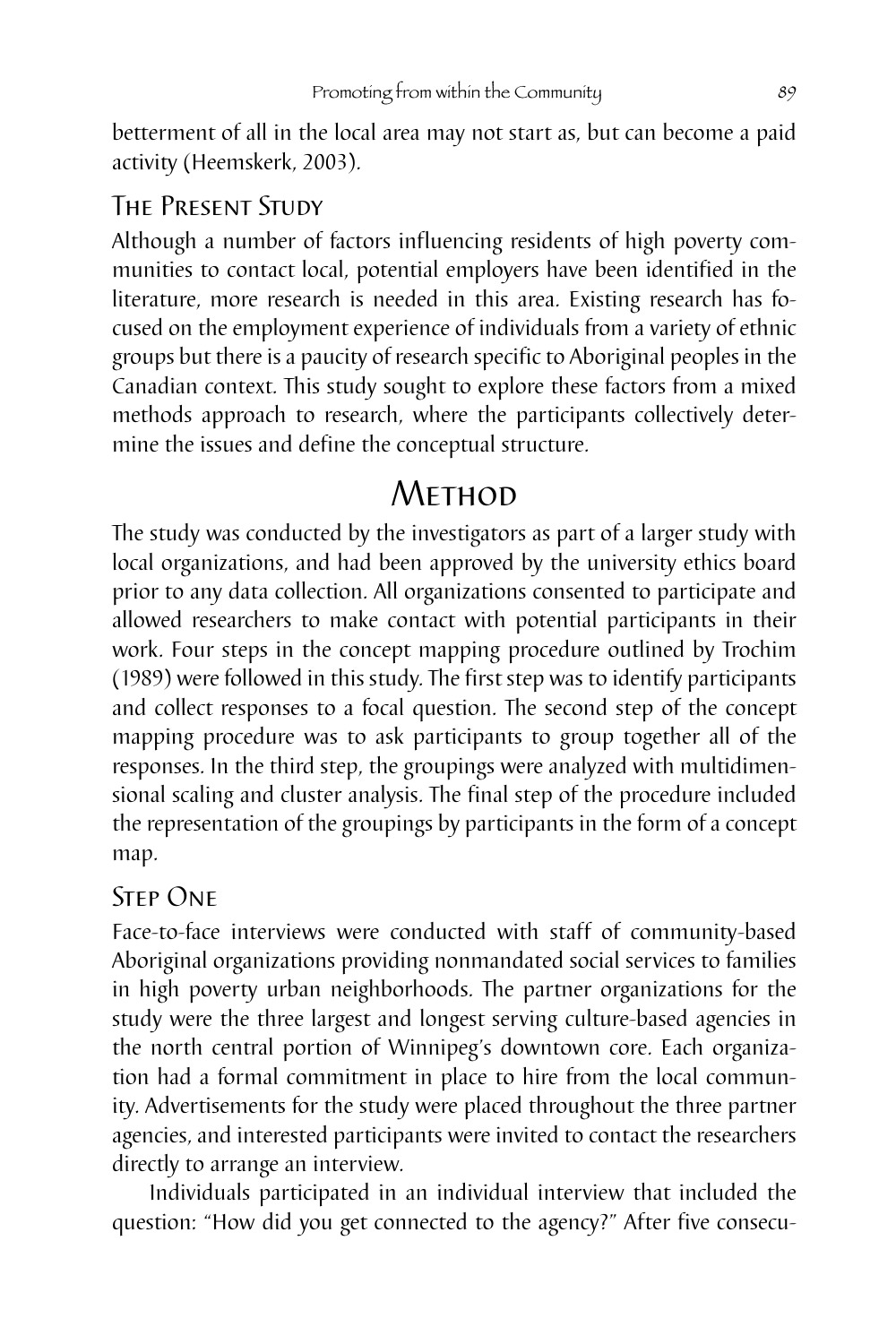betterment of all in the local area may not start as, but can become a paid activity (Heemskerk, 2003).

## The Present Study

Although a number of factors influencing residents of high poverty communities to contact local, potential employers have been identified in the literature, more research is needed in this area. Existing research has focused on the employment experience of individuals from a variety of ethnic groups but there is a paucity of research specific to Aboriginal peoples in the Canadian context. This study sought to explore these factors from a mixed methods approach to research, where the participants collectively determine the issues and define the conceptual structure.

# **METHOD**

The study was conducted by the investigators as part of a larger study with local organizations, and had been approved by the university ethics board prior to any data collection. All organizations consented to participate and allowed researchers to make contact with potential participants in their work. Four steps in the concept mapping procedure outlined by Trochim (1989) were followed in this study. The first step was to identify participants and collect responses to a focal question. The second step of the concept mapping procedure was to ask participants to group together all of the responses. In the third step, the groupings were analyzed with multidimensional scaling and cluster analysis. The final step of the procedure included the representation of the groupings by participants in the form of a concept map.

## Step One

Face-to-face interviews were conducted with staff of community-based Aboriginal organizations providing nonmandated social services to families in high poverty urban neighborhoods. The partner organizations for the study were the three largest and longest serving culture-based agencies in the north central portion of Winnipeg's downtown core. Each organization had a formal commitment in place to hire from the local community. Advertisements for the study were placed throughout the three partner agencies, and interested participants were invited to contact the researchers directly to arrange an interview.

Individuals participated in an individual interview that included the question: "How did you get connected to the agency?" After five consecu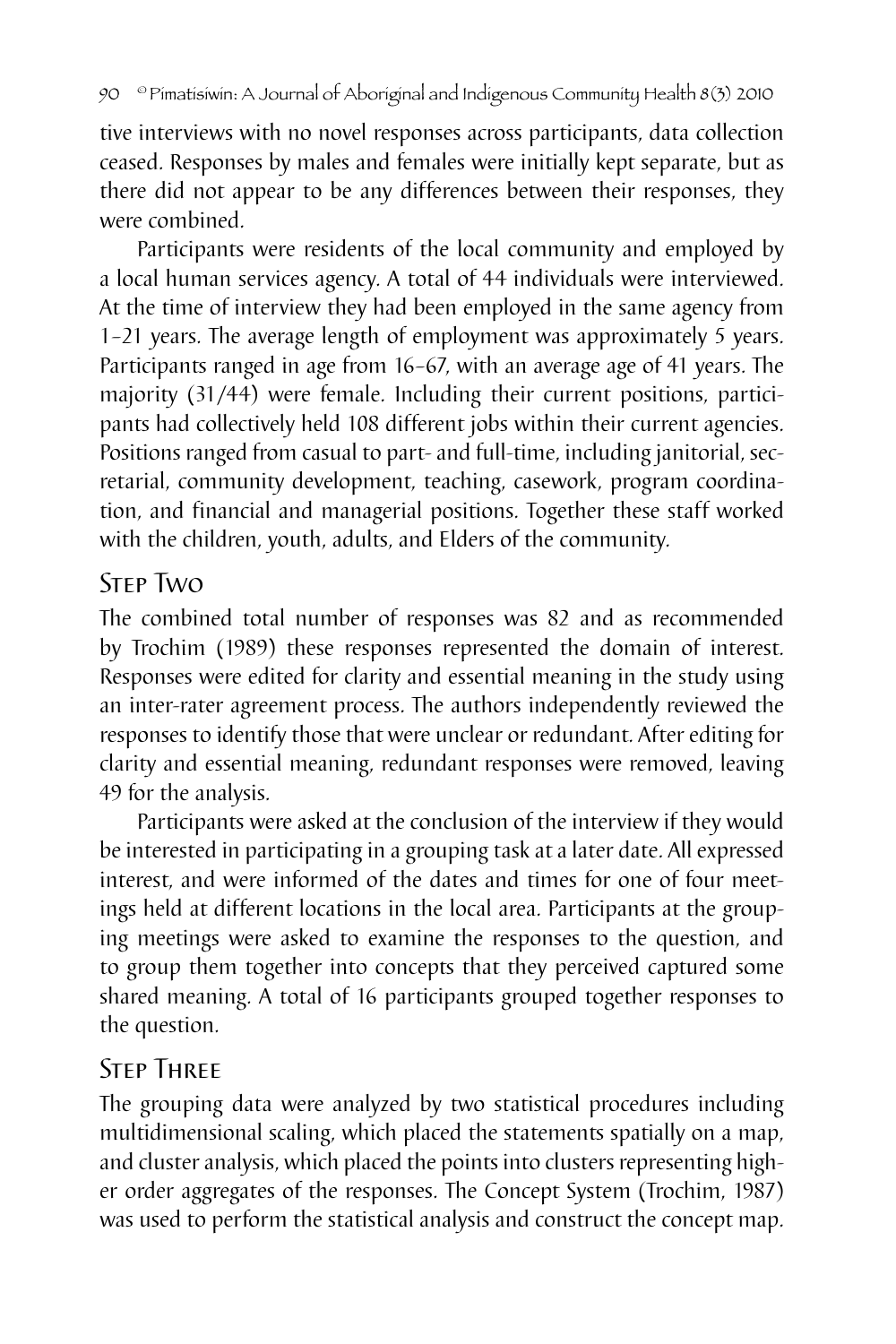tive interviews with no novel responses across participants, data collection ceased. Responses by males and females were initially kept separate, but as there did not appear to be any differences between their responses, they were combined.

Participants were residents of the local community and employed by a local human services agency. A total of 44 individuals were interviewed. At the time of interview they had been employed in the same agency from 1–21 years. The average length of employment was approximately 5 years. Participants ranged in age from 16–67, with an average age of 41 years. The majority (31/44) were female. Including their current positions, participants had collectively held 108 different jobs within their current agencies. Positions ranged from casual to part- and full-time, including janitorial, secretarial, community development, teaching, casework, program coordination, and financial and managerial positions. Together these staff worked with the children, youth, adults, and Elders of the community.

## Step Two

The combined total number of responses was 82 and as recommended by Trochim (1989) these responses represented the domain of interest. Responses were edited for clarity and essential meaning in the study using an inter-rater agreement process. The authors independently reviewed the responses to identify those that were unclear or redundant. After editing for clarity and essential meaning, redundant responses were removed, leaving 49 for the analysis.

Participants were asked at the conclusion of the interview if they would be interested in participating in a grouping task at a later date. All expressed interest, and were informed of the dates and times for one of four meetings held at different locations in the local area. Participants at the grouping meetings were asked to examine the responses to the question, and to group them together into concepts that they perceived captured some shared meaning. A total of 16 participants grouped together responses to the question.

## **STEP THREE**

The grouping data were analyzed by two statistical procedures including multidimensional scaling, which placed the statements spatially on a map, and cluster analysis, which placed the points into clusters representing higher order aggregates of the responses. The Concept System (Trochim, 1987) was used to perform the statistical analysis and construct the concept map.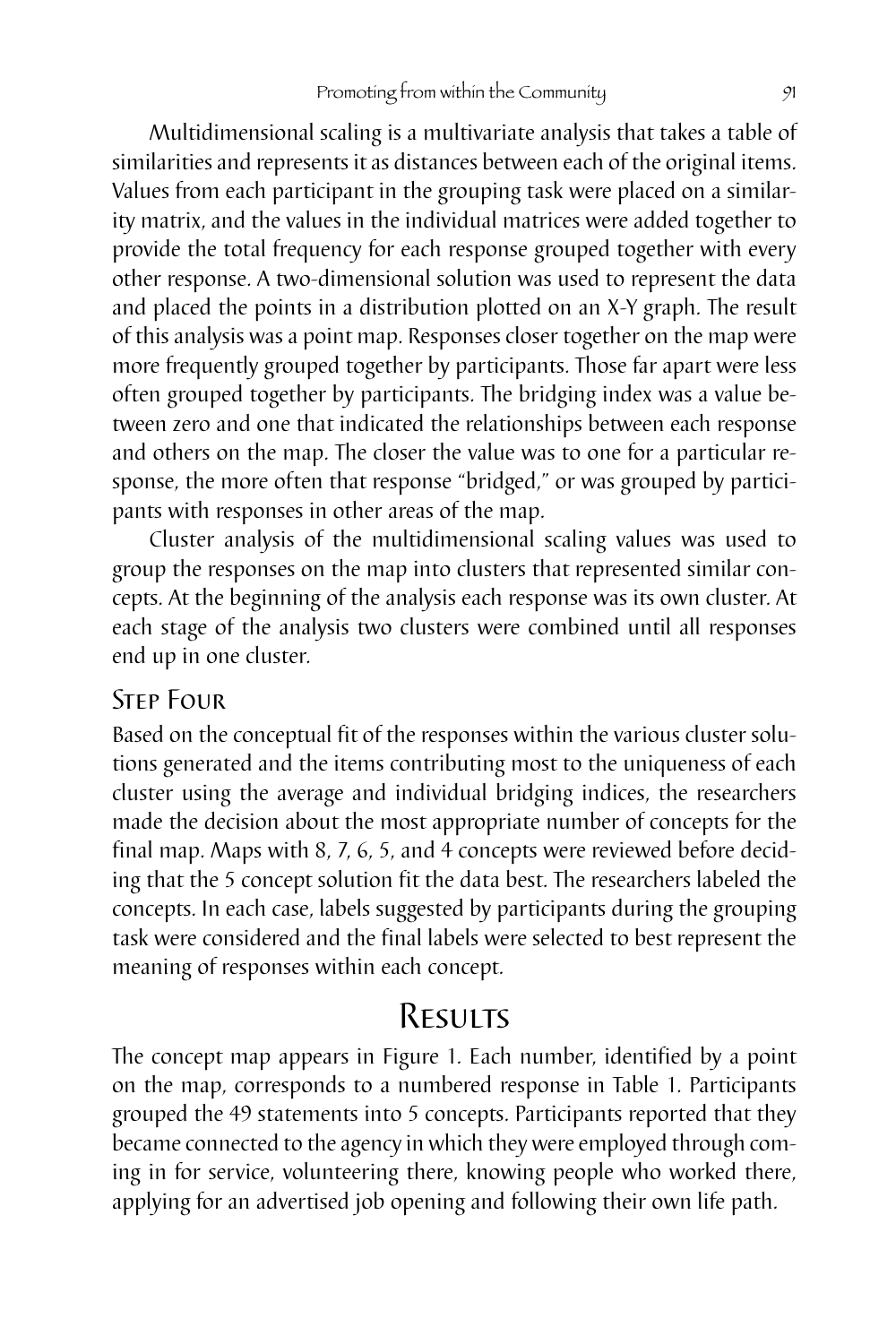Multidimensional scaling is a multivariate analysis that takes a table of similarities and represents it as distances between each of the original items. Values from each participant in the grouping task were placed on a similarity matrix, and the values in the individual matrices were added together to provide the total frequency for each response grouped together with every other response. A two-dimensional solution was used to represent the data and placed the points in a distribution plotted on an X-Y graph. The result of this analysis was a point map. Responses closer together on the map were more frequently grouped together by participants. Those far apart were less often grouped together by participants. The bridging index was a value between zero and one that indicated the relationships between each response and others on the map. The closer the value was to one for a particular response, the more often that response "bridged," or was grouped by participants with responses in other areas of the map.

Cluster analysis of the multidimensional scaling values was used to group the responses on the map into clusters that represented similar concepts. At the beginning of the analysis each response was its own cluster. At each stage of the analysis two clusters were combined until all responses end up in one cluster.

### Step Four

Based on the conceptual fit of the responses within the various cluster solutions generated and the items contributing most to the uniqueness of each cluster using the average and individual bridging indices, the researchers made the decision about the most appropriate number of concepts for the final map. Maps with 8, 7, 6, 5, and 4 concepts were reviewed before deciding that the 5 concept solution fit the data best. The researchers labeled the concepts. In each case, labels suggested by participants during the grouping task were considered and the final labels were selected to best represent the meaning of responses within each concept.

# Results

The concept map appears in Figure 1. Each number, identified by a point on the map, corresponds to a numbered response in Table 1. Participants grouped the 49 statements into 5 concepts. Participants reported that they became connected to the agency in which they were employed through coming in for service, volunteering there, knowing people who worked there, applying for an advertised job opening and following their own life path.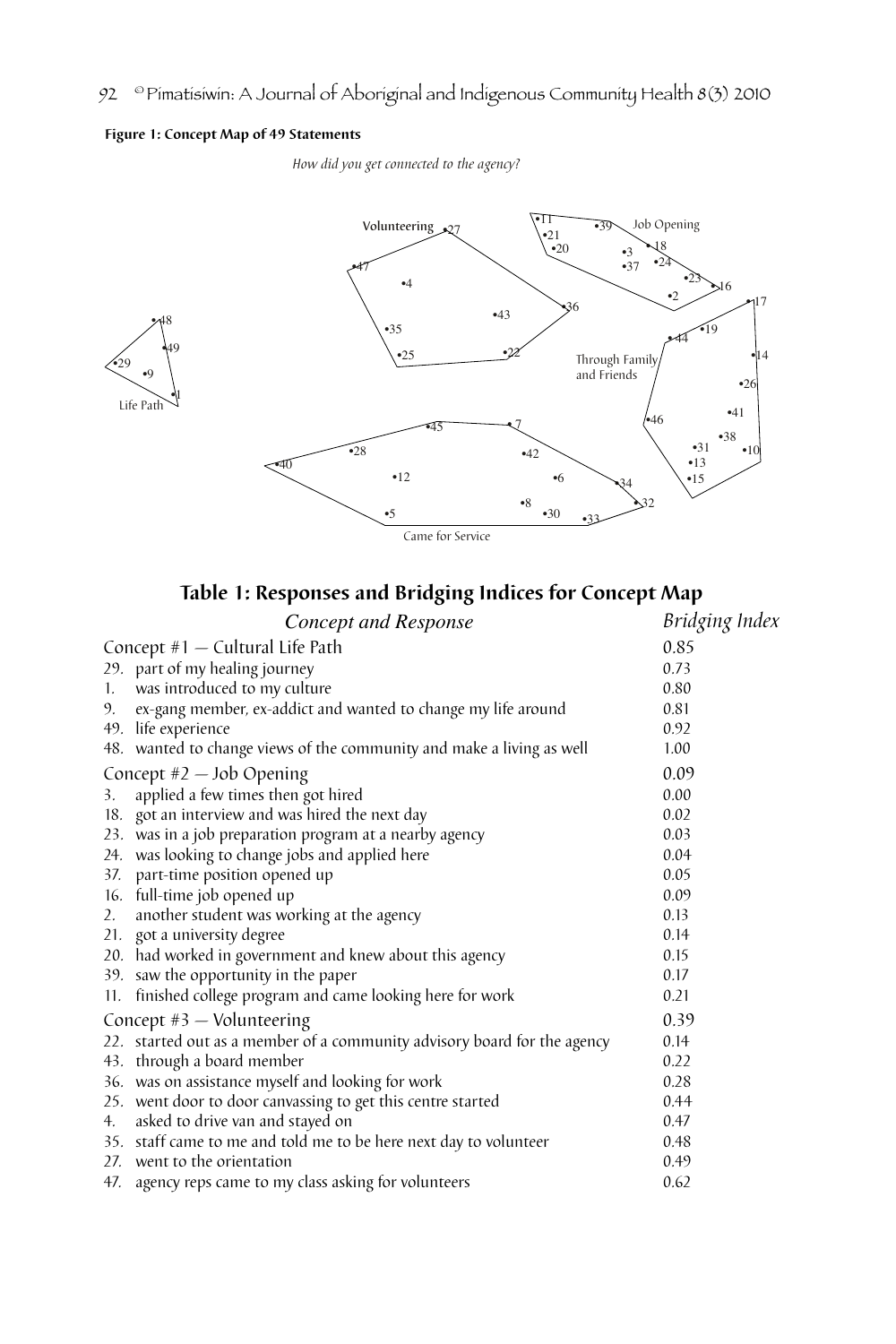#### **Figure 1: Concept Map of 49 Statements**

*How did you get connected to the agency?*



## **Table 1: Responses and Bridging Indices for Concept Map**

|    | Concept and Response                                                     | Bridging Index |
|----|--------------------------------------------------------------------------|----------------|
|    | Concept $#1$ – Cultural Life Path                                        | 0.85           |
|    | 29. part of my healing journey                                           | 0.73           |
| 1. | was introduced to my culture                                             | 0.80           |
| 9. | ex-gang member, ex-addict and wanted to change my life around            | 0.81           |
|    | 49. life experience                                                      | 0.92           |
|    | 48. wanted to change views of the community and make a living as well    | 1.00           |
|    | Concept $#2$ - Job Opening                                               | 0.09           |
| 3. | applied a few times then got hired                                       | 0.00           |
|    | 18. got an interview and was hired the next day                          | 0.02           |
|    | 23. was in a job preparation program at a nearby agency                  | 0.03           |
|    | 24. was looking to change jobs and applied here                          | 0.04           |
|    | 37. part-time position opened up                                         | 0.05           |
|    | 16. full-time job opened up                                              | 0.09           |
| 2. | another student was working at the agency                                | 0.13           |
|    | 21. got a university degree                                              | 0.14           |
|    | 20. had worked in government and knew about this agency                  | 0.15           |
|    | 39. saw the opportunity in the paper                                     | 0.17           |
|    | 11. finished college program and came looking here for work              | 0.21           |
|    | Concept $#3$ - Volunteering                                              | 0.39           |
|    | 22. started out as a member of a community advisory board for the agency | 0.14           |
|    | 43. through a board member                                               | 0.22           |
|    | 36. was on assistance myself and looking for work                        | 0.28           |
|    | 25. went door to door canvassing to get this centre started              | 0.44           |
| 4. | asked to drive van and stayed on                                         | 0.47           |
|    | 35. staff came to me and told me to be here next day to volunteer        | 0.48           |
|    | 27. went to the orientation                                              | 0.49           |
|    | 47. agency reps came to my class asking for volunteers                   | 0.62           |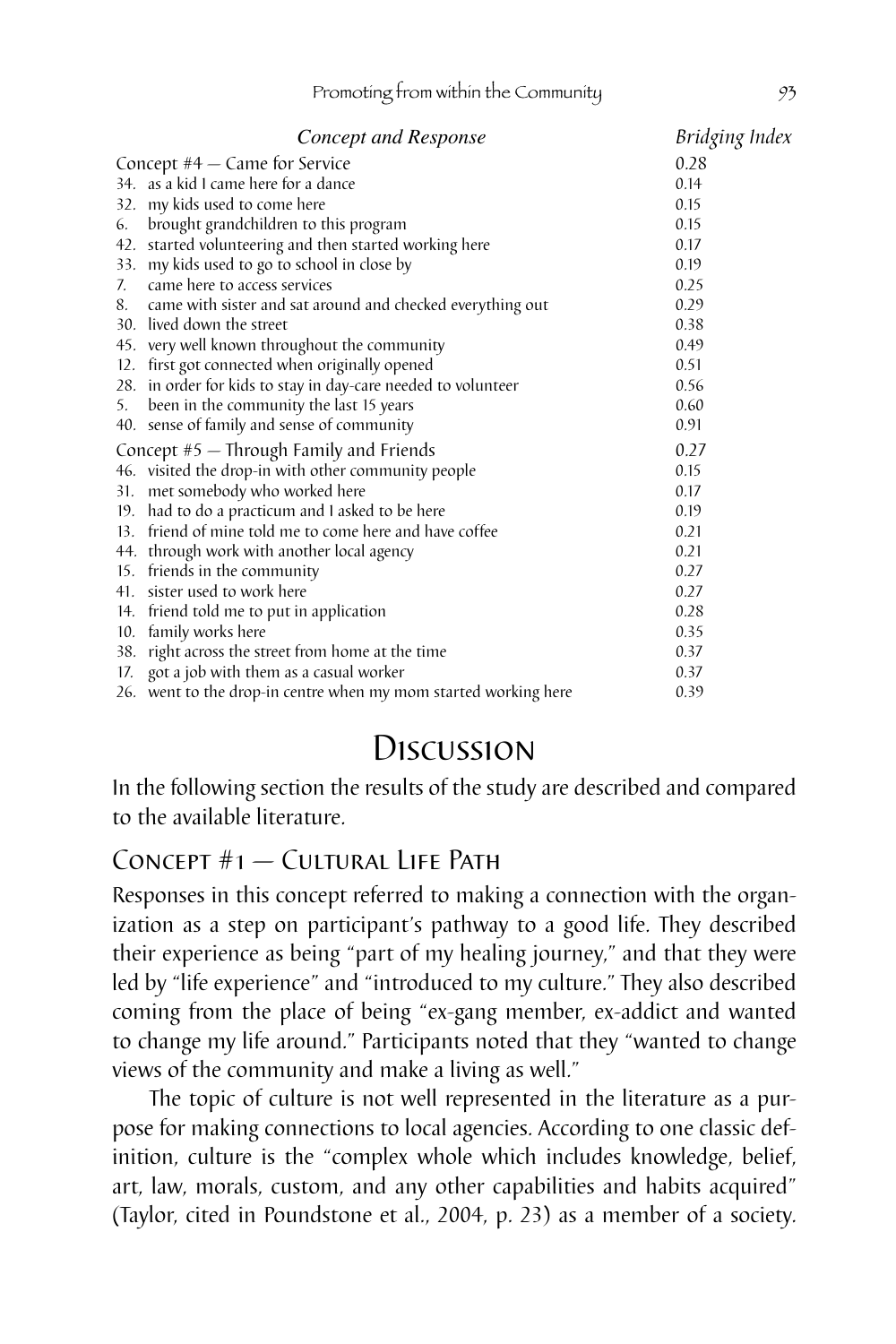|                                           | Concept and Response                                            | Bridging Index |
|-------------------------------------------|-----------------------------------------------------------------|----------------|
| Concept $#4 -$ Came for Service           |                                                                 | 0.28           |
|                                           | 34. as a kid I came here for a dance                            | 0.14           |
|                                           | 32. my kids used to come here                                   | 0.15           |
| 6.                                        | brought grandchildren to this program                           | 0.15           |
|                                           | 42. started volunteering and then started working here          | 0.17           |
|                                           | 33. my kids used to go to school in close by                    | 0.19           |
|                                           | 7. came here to access services                                 | 0.25           |
|                                           | 8. came with sister and sat around and checked everything out   | 0.29           |
|                                           | 30. lived down the street                                       | 0.38           |
|                                           | 45. very well known throughout the community                    | 0.49           |
|                                           | 12. first got connected when originally opened                  | 0.51           |
|                                           | 28. in order for kids to stay in day-care needed to volunteer   | 0.56           |
|                                           | 5. been in the community the last 15 years                      | 0.60           |
|                                           | 40. sense of family and sense of community                      | 0.91           |
| Concept $#5$ - Through Family and Friends |                                                                 | 0.27           |
|                                           | 46. visited the drop-in with other community people             | 0.15           |
|                                           | 31. met somebody who worked here                                | 0.17           |
|                                           | 19. had to do a practicum and I asked to be here                | 0.19           |
|                                           | 13. friend of mine told me to come here and have coffee         | 0.21           |
|                                           | 44. through work with another local agency                      | 0.21           |
|                                           | 15. friends in the community                                    | 0.27           |
|                                           | 41. sister used to work here                                    | 0.27           |
|                                           | 14. friend told me to put in application                        | 0.28           |
|                                           | 10. family works here                                           | 0.35           |
|                                           | 38. right across the street from home at the time               | 0.37           |
|                                           | 17. got a job with them as a casual worker                      | 0.37           |
|                                           | 26. went to the drop-in centre when my mom started working here | 0.39           |

# Discussion

In the following section the results of the study are described and compared to the available literature.

## $CONFF + 1 - C$ ultural Liff Path

Responses in this concept referred to making a connection with the organization as a step on participant's pathway to a good life. They described their experience as being "part of my healing journey," and that they were led by "life experience" and "introduced to my culture." They also described coming from the place of being "ex-gang member, ex-addict and wanted to change my life around." Participants noted that they "wanted to change views of the community and make a living as well."

The topic of culture is not well represented in the literature as a purpose for making connections to local agencies. According to one classic definition, culture is the "complex whole which includes knowledge, belief, art, law, morals, custom, and any other capabilities and habits acquired" (Taylor, cited in Poundstone et al., 2004, p. 23) as a member of a society.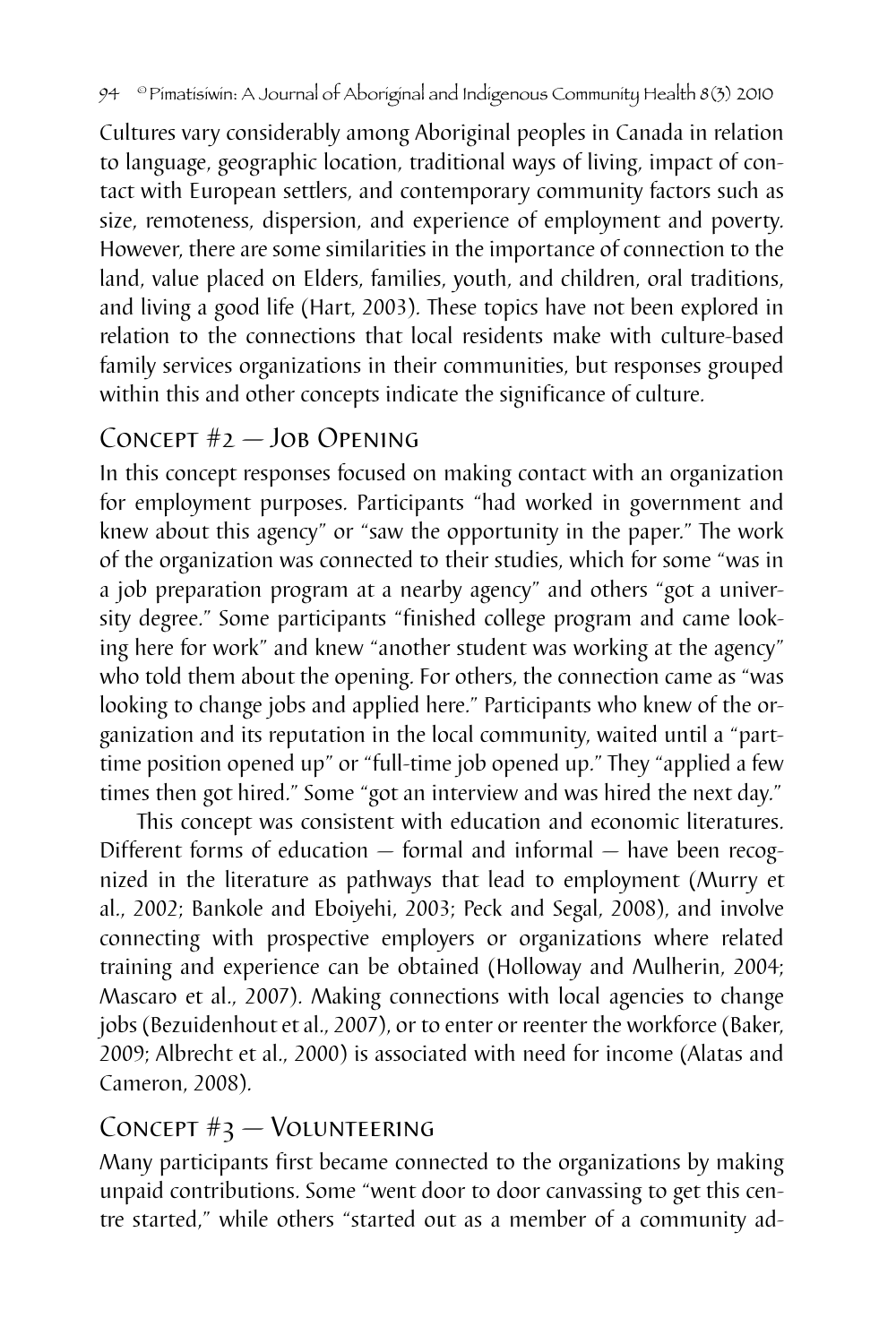Cultures vary considerably among Aboriginal peoples in Canada in relation to language, geographic location, traditional ways of living, impact of contact with European settlers, and contemporary community factors such as size, remoteness, dispersion, and experience of employment and poverty. However, there are some similarities in the importance of connection to the land, value placed on Elders, families, youth, and children, oral traditions, and living a good life (Hart, 2003). These topics have not been explored in relation to the connections that local residents make with culture-based family services organizations in their communities, but responses grouped within this and other concepts indicate the significance of culture.

# Concept #2 — Job Opening

In this concept responses focused on making contact with an organization for employment purposes. Participants "had worked in government and knew about this agency" or "saw the opportunity in the paper." The work of the organization was connected to their studies, which for some "was in a job preparation program at a nearby agency" and others "got a university degree." Some participants "finished college program and came looking here for work" and knew "another student was working at the agency" who told them about the opening. For others, the connection came as "was looking to change jobs and applied here." Participants who knew of the organization and its reputation in the local community, waited until a "parttime position opened up" or "full-time job opened up." They "applied a few times then got hired." Some "got an interview and was hired the next day."

This concept was consistent with education and economic literatures. Different forms of education — formal and informal — have been recognized in the literature as pathways that lead to employment (Murry et al., 2002; Bankole and Eboiyehi, 2003; Peck and Segal, 2008), and involve connecting with prospective employers or organizations where related training and experience can be obtained (Holloway and Mulherin, 2004; Mascaro et al., 2007). Making connections with local agencies to change jobs (Bezuidenhout et al., 2007), or to enter or reenter the workforce (Baker, 2009; Albrecht et al., 2000) is associated with need for income (Alatas and Cameron, 2008).

## Concept #3 — Volunteering

Many participants first became connected to the organizations by making unpaid contributions. Some "went door to door canvassing to get this centre started," while others "started out as a member of a community ad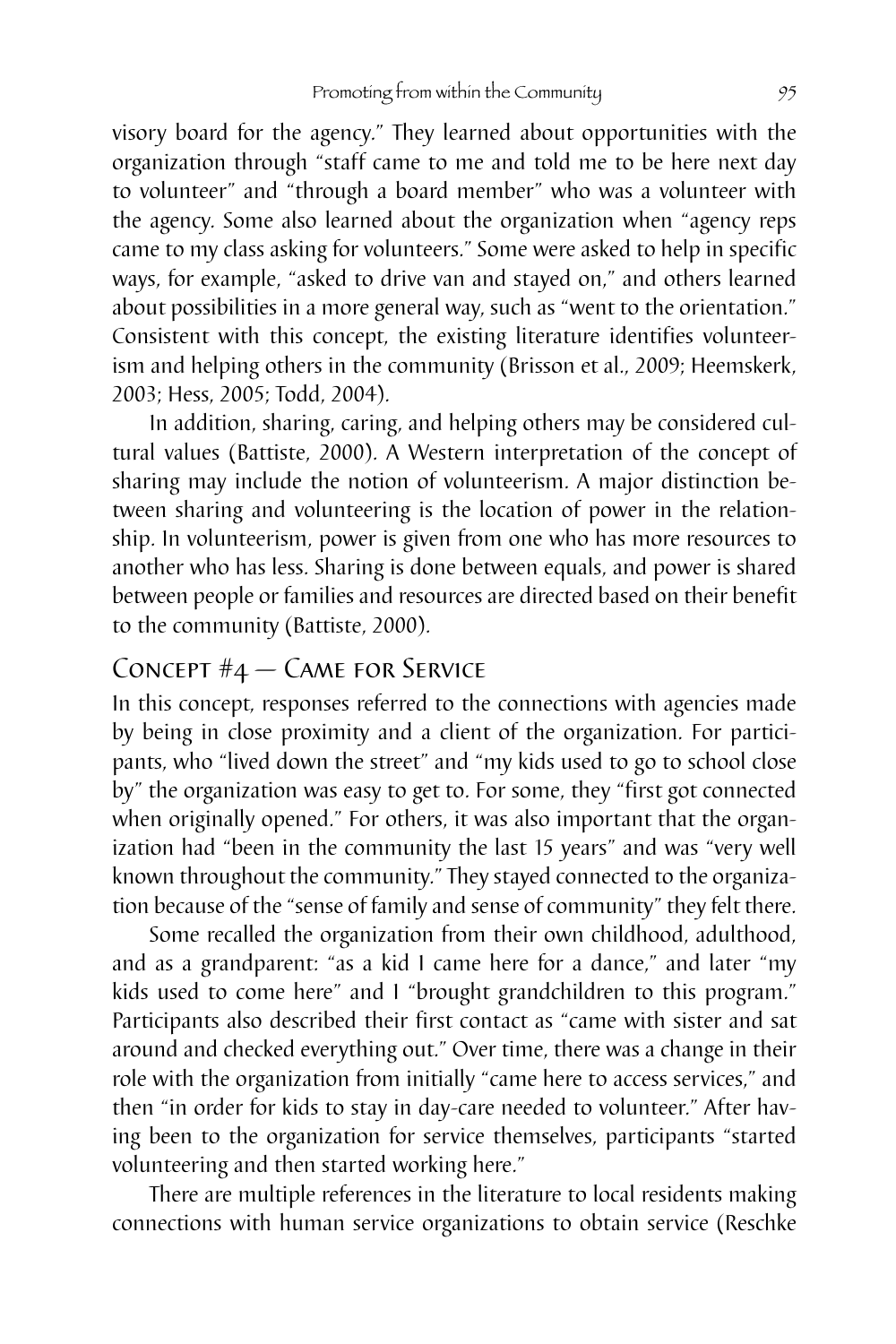visory board for the agency." They learned about opportunities with the organization through "staff came to me and told me to be here next day to volunteer" and "through a board member" who was a volunteer with the agency. Some also learned about the organization when "agency reps came to my class asking for volunteers." Some were asked to help in specific ways, for example, "asked to drive van and stayed on," and others learned about possibilities in a more general way, such as "went to the orientation." Consistent with this concept, the existing literature identifies volunteerism and helping others in the community (Brisson et al., 2009; Heemskerk, 2003; Hess, 2005; Todd, 2004).

In addition, sharing, caring, and helping others may be considered cultural values (Battiste, 2000). A Western interpretation of the concept of sharing may include the notion of volunteerism. A major distinction between sharing and volunteering is the location of power in the relationship. In volunteerism, power is given from one who has more resources to another who has less. Sharing is done between equals, and power is shared between people or families and resources are directed based on their benefit to the community (Battiste, 2000).

## Concept #4 — Came for Service

In this concept, responses referred to the connections with agencies made by being in close proximity and a client of the organization. For participants, who "lived down the street" and "my kids used to go to school close by" the organization was easy to get to. For some, they "first got connected when originally opened." For others, it was also important that the organization had "been in the community the last 15 years" and was "very well known throughout the community." They stayed connected to the organization because of the "sense of family and sense of community" they felt there.

Some recalled the organization from their own childhood, adulthood, and as a grandparent: "as a kid I came here for a dance," and later "my kids used to come here" and I "brought grandchildren to this program." Participants also described their first contact as "came with sister and sat around and checked everything out." Over time, there was a change in their role with the organization from initially "came here to access services," and then "in order for kids to stay in day-care needed to volunteer." After having been to the organization for service themselves, participants "started volunteering and then started working here."

There are multiple references in the literature to local residents making connections with human service organizations to obtain service (Reschke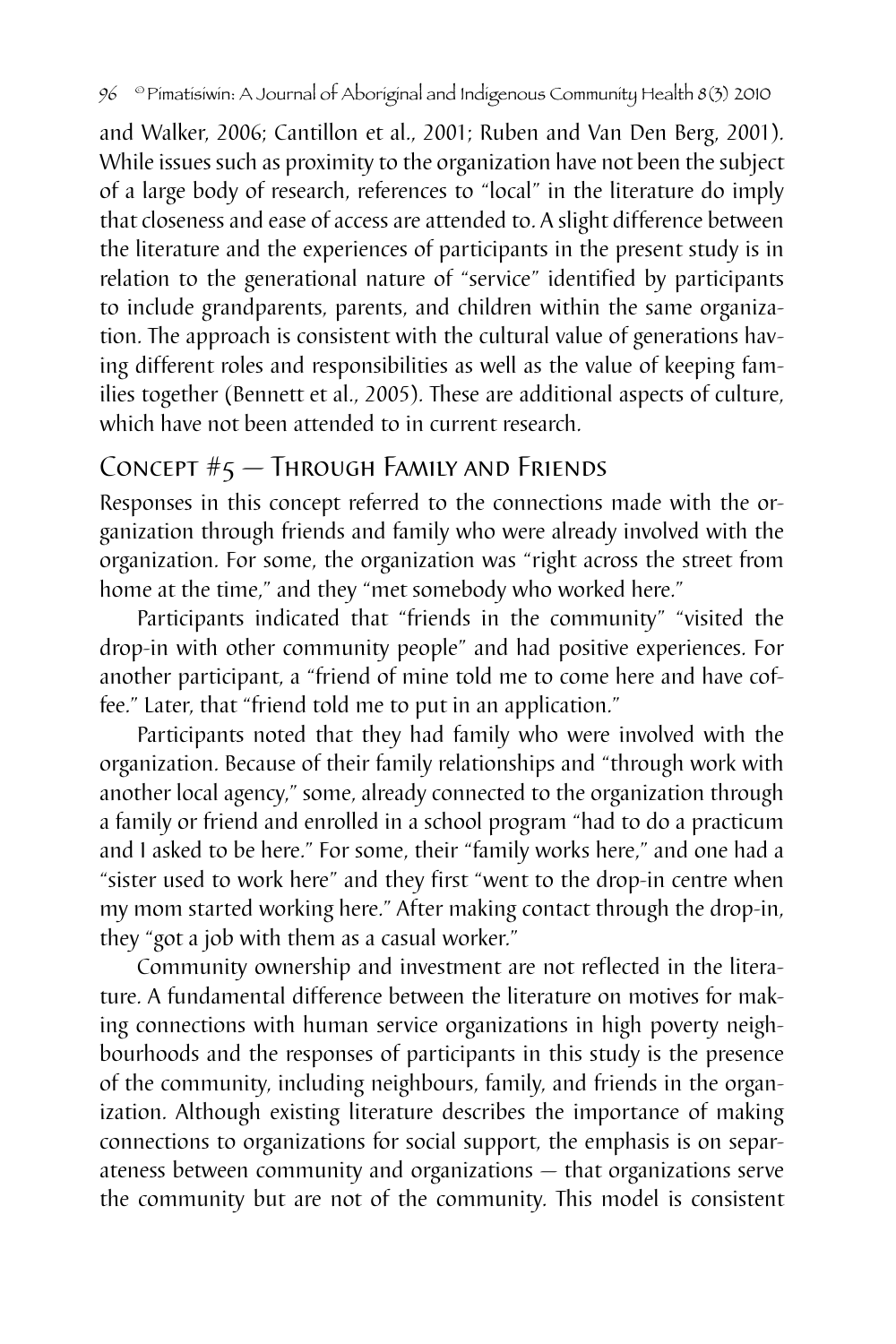and Walker, 2006; Cantillon et al., 2001; Ruben and Van Den Berg, 2001). While issues such as proximity to the organization have not been the subject of a large body of research, references to "local" in the literature do imply that closeness and ease of access are attended to. A slight difference between the literature and the experiences of participants in the present study is in relation to the generational nature of "service" identified by participants to include grandparents, parents, and children within the same organization. The approach is consistent with the cultural value of generations having different roles and responsibilities as well as the value of keeping families together (Bennett et al., 2005). These are additional aspects of culture, which have not been attended to in current research.

## Concept #5 — Through Family and Friends

Responses in this concept referred to the connections made with the organization through friends and family who were already involved with the organization. For some, the organization was "right across the street from home at the time," and they "met somebody who worked here."

Participants indicated that "friends in the community" "visited the drop-in with other community people" and had positive experiences. For another participant, a "friend of mine told me to come here and have coffee." Later, that "friend told me to put in an application."

Participants noted that they had family who were involved with the organization. Because of their family relationships and "through work with another local agency," some, already connected to the organization through a family or friend and enrolled in a school program "had to do a practicum and I asked to be here." For some, their "family works here," and one had a "sister used to work here" and they first "went to the drop-in centre when my mom started working here." After making contact through the drop-in, they "got a job with them as a casual worker."

Community ownership and investment are not reflected in the literature. A fundamental difference between the literature on motives for making connections with human service organizations in high poverty neighbourhoods and the responses of participants in this study is the presence of the community, including neighbours, family, and friends in the organization. Although existing literature describes the importance of making connections to organizations for social support, the emphasis is on separateness between community and organizations — that organizations serve the community but are not of the community. This model is consistent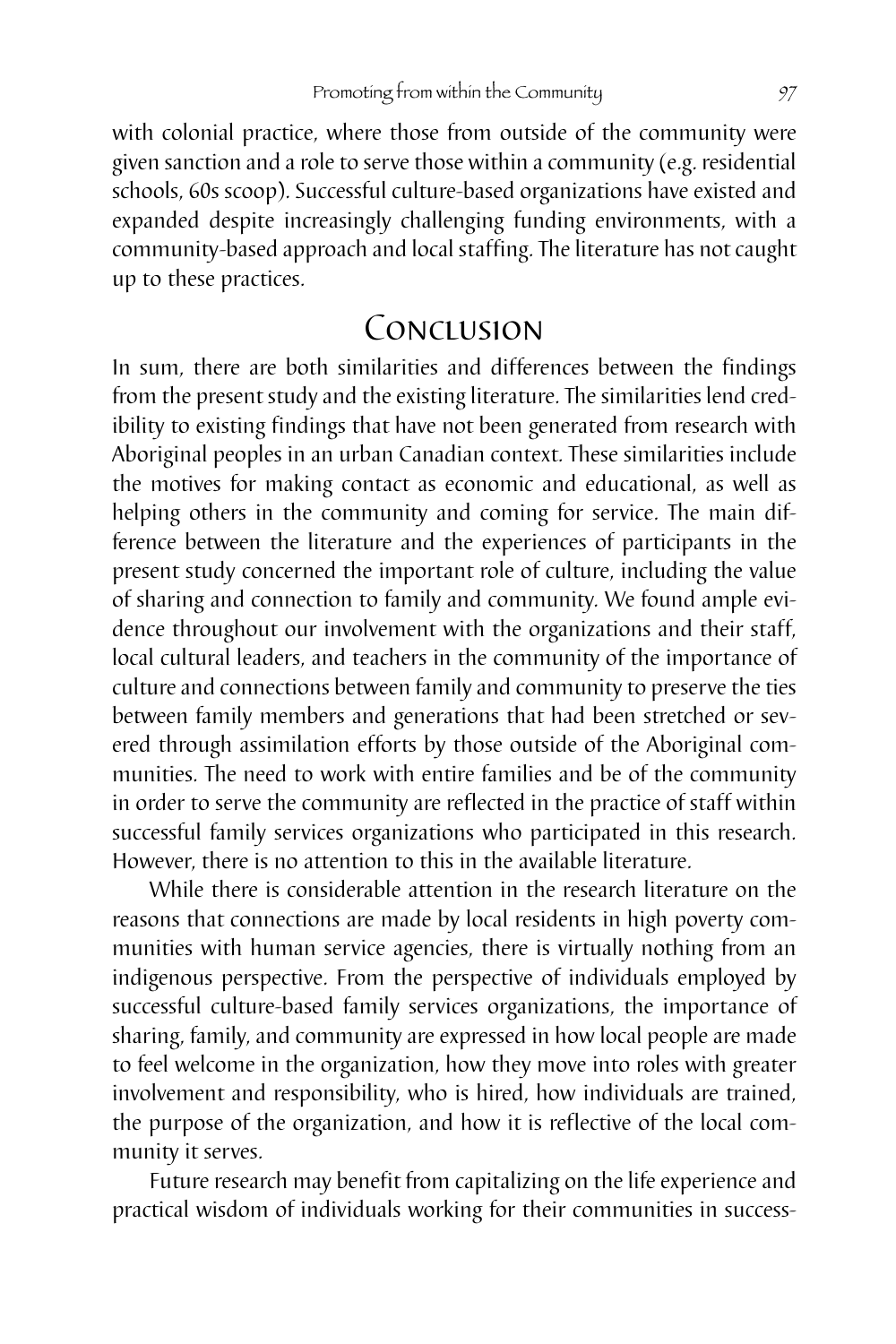with colonial practice, where those from outside of the community were given sanction and a role to serve those within a community (e.g. residential schools, 60s scoop). Successful culture-based organizations have existed and expanded despite increasingly challenging funding environments, with a community-based approach and local staffing. The literature has not caught up to these practices.

# Conclusion

In sum, there are both similarities and differences between the findings from the present study and the existing literature. The similarities lend credibility to existing findings that have not been generated from research with Aboriginal peoples in an urban Canadian context. These similarities include the motives for making contact as economic and educational, as well as helping others in the community and coming for service. The main difference between the literature and the experiences of participants in the present study concerned the important role of culture, including the value of sharing and connection to family and community. We found ample evidence throughout our involvement with the organizations and their staff, local cultural leaders, and teachers in the community of the importance of culture and connections between family and community to preserve the ties between family members and generations that had been stretched or severed through assimilation efforts by those outside of the Aboriginal communities. The need to work with entire families and be of the community in order to serve the community are reflected in the practice of staff within successful family services organizations who participated in this research. However, there is no attention to this in the available literature.

While there is considerable attention in the research literature on the reasons that connections are made by local residents in high poverty communities with human service agencies, there is virtually nothing from an indigenous perspective. From the perspective of individuals employed by successful culture-based family services organizations, the importance of sharing, family, and community are expressed in how local people are made to feel welcome in the organization, how they move into roles with greater involvement and responsibility, who is hired, how individuals are trained, the purpose of the organization, and how it is reflective of the local community it serves.

Future research may benefit from capitalizing on the life experience and practical wisdom of individuals working for their communities in success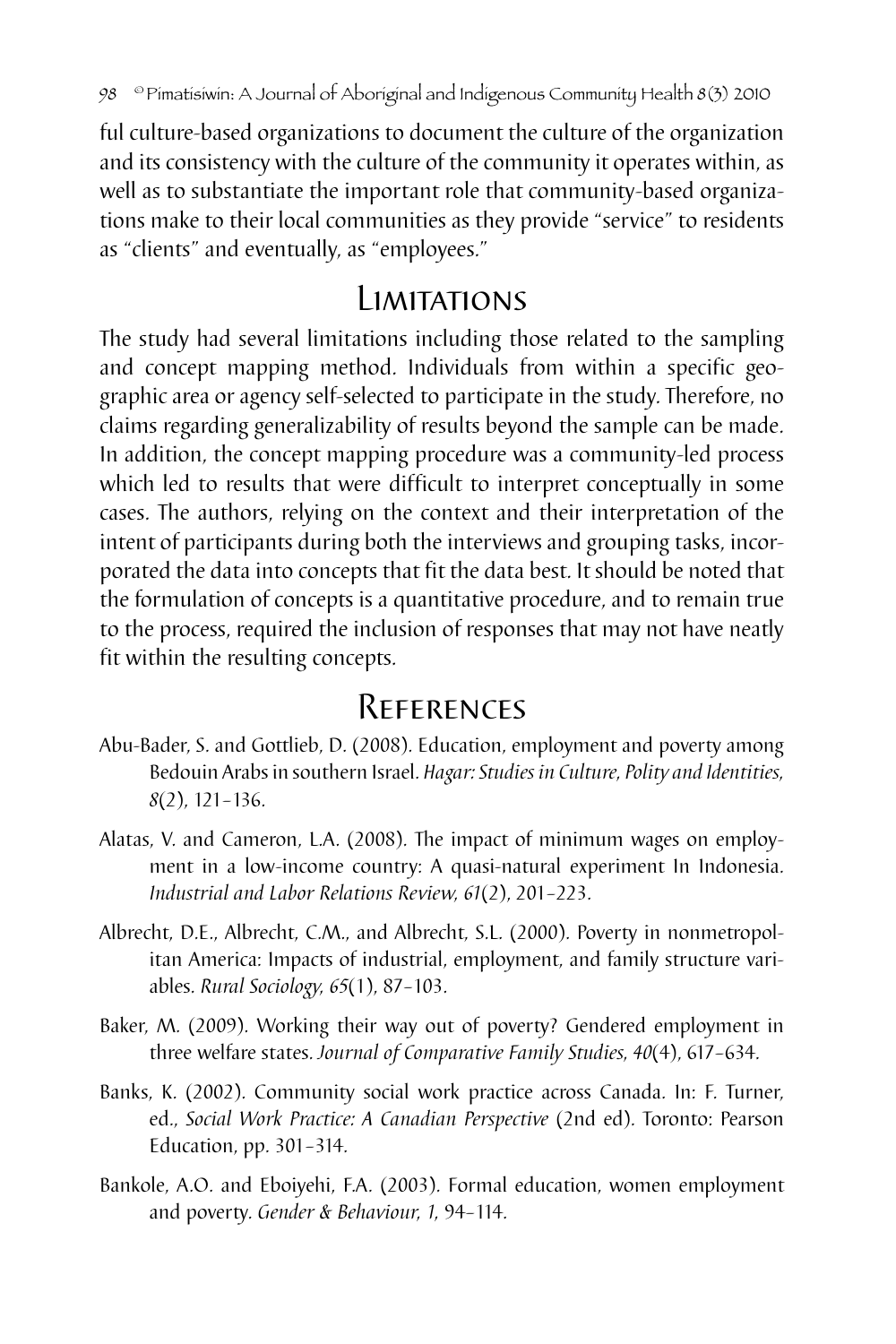ful culture-based organizations to document the culture of the organization and its consistency with the culture of the community it operates within, as well as to substantiate the important role that community-based organizations make to their local communities as they provide "service" to residents as "clients" and eventually, as "employees."

# Limitations

The study had several limitations including those related to the sampling and concept mapping method. Individuals from within a specific geographic area or agency self-selected to participate in the study. Therefore, no claims regarding generalizability of results beyond the sample can be made. In addition, the concept mapping procedure was a community-led process which led to results that were difficult to interpret conceptually in some cases. The authors, relying on the context and their interpretation of the intent of participants during both the interviews and grouping tasks, incorporated the data into concepts that fit the data best. It should be noted that the formulation of concepts is a quantitative procedure, and to remain true to the process, required the inclusion of responses that may not have neatly fit within the resulting concepts.

# References

- Abu-Bader, S. and Gottlieb, D. (2008). Education, employment and poverty among Bedouin Arabs in southern Israel. *Hagar: Studies in Culture, Polity and Identities, 8*(2), 121–136.
- Alatas, V. and Cameron, L.A. (2008). The impact of minimum wages on employment in a low-income country: A quasi-natural experiment In Indonesia. *Industrial and Labor Relations Review, 61*(2), 201–223.
- Albrecht, D.E., Albrecht, C.M., and Albrecht, S.L. (2000). Poverty in nonmetropolitan America: Impacts of industrial, employment, and family structure variables. *Rural Sociology, 65*(1), 87–103.
- Baker, M. (2009). Working their way out of poverty? Gendered employment in three welfare states. *Journal of Comparative Family Studies, 40*(4), 617–634.
- Banks, K. (2002). Community social work practice across Canada. In: F. Turner, ed., *Social Work Practice: A Canadian Perspective* (2nd ed). Toronto: Pearson Education, pp. 301–314.
- Bankole, A.O. and Eboiyehi, F.A. (2003). Formal education, women employment and poverty. *Gender & Behaviour, 1,* 94–114.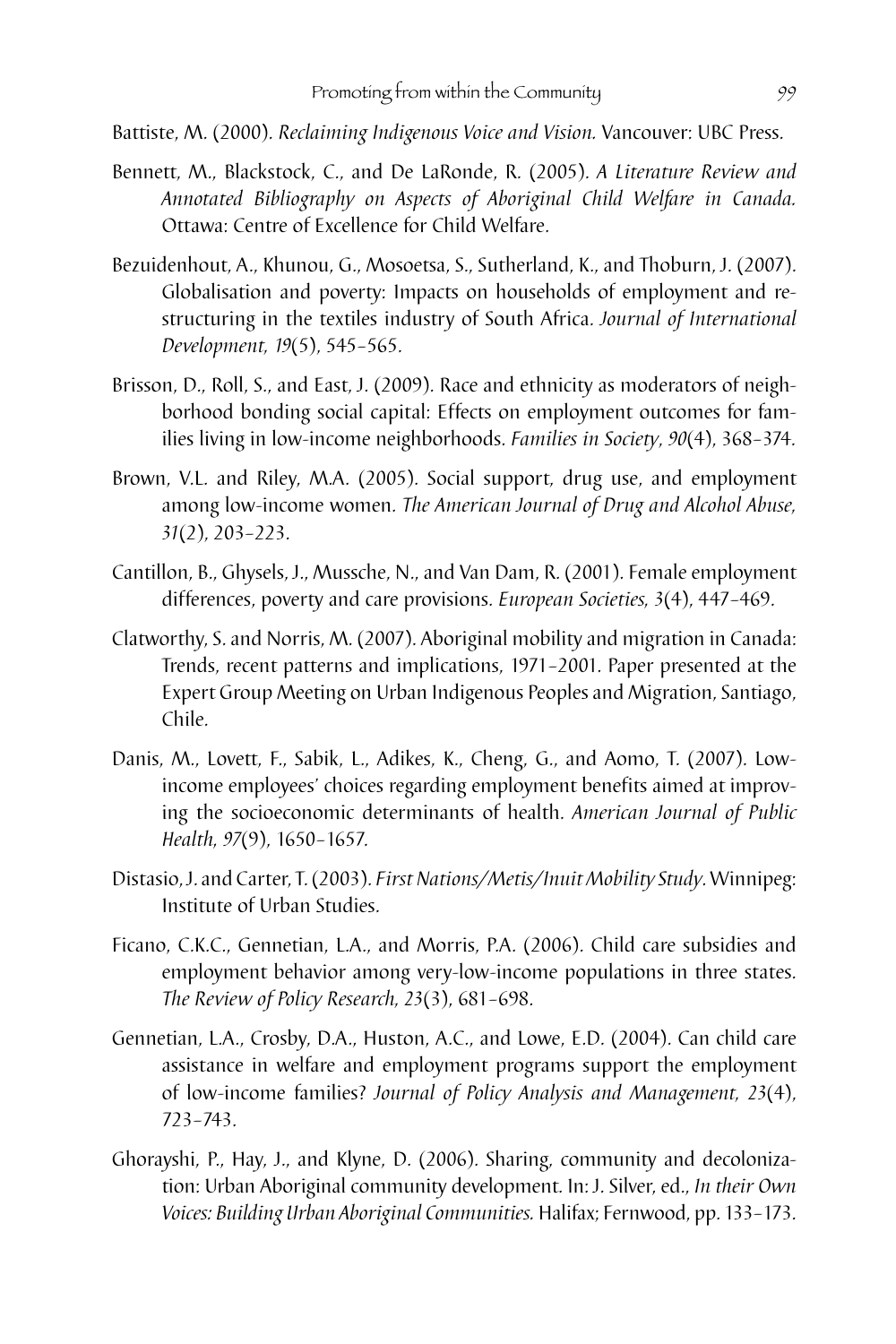Battiste, M. (2000). *Reclaiming Indigenous Voice and Vision.* Vancouver: UBC Press.

- Bennett, M., Blackstock, C., and De LaRonde, R. (2005). *A Literature Review and Annotated Bibliography on Aspects of Aboriginal Child Welfare in Canada.* Ottawa: Centre of Excellence for Child Welfare.
- Bezuidenhout, A., Khunou, G., Mosoetsa, S., Sutherland, K., and Thoburn, J. (2007). Globalisation and poverty: Impacts on households of employment and restructuring in the textiles industry of South Africa. *Journal of International Development, 19*(5), 545–565.
- Brisson, D., Roll, S., and East, J. (2009). Race and ethnicity as moderators of neighborhood bonding social capital: Effects on employment outcomes for families living in low-income neighborhoods. *Families in Society*, *90*(4), 368–374.
- Brown, V.L. and Riley, M.A. (2005). Social support, drug use, and employment among low-income women. *The American Journal of Drug and Alcohol Abuse, 31*(2), 203–223.
- Cantillon, B., Ghysels, J., Mussche, N., and Van Dam, R. (2001). Female employment differences, poverty and care provisions. *European Societies, 3*(4), 447–469.
- Clatworthy, S. and Norris, M. (2007). Aboriginal mobility and migration in Canada: Trends, recent patterns and implications, 1971–2001. Paper presented at the Expert Group Meeting on Urban Indigenous Peoples and Migration, Santiago, Chile.
- Danis, M., Lovett, F., Sabik, L., Adikes, K., Cheng, G., and Aomo, T. (2007). Lowincome employees' choices regarding employment benefits aimed at improving the socioeconomic determinants of health. *American Journal of Public Health, 97*(9), 1650–1657.
- Distasio, J. and Carter, T. (2003). *First Nations/Metis/Inuit Mobility Study*. Winnipeg: Institute of Urban Studies.
- Ficano, C.K.C., Gennetian, L.A., and Morris, P.A. (2006). Child care subsidies and employment behavior among very-low-income populations in three states. *The Review of Policy Research, 23*(3), 681–698.
- Gennetian, L.A., Crosby, D.A., Huston, A.C., and Lowe, E.D. (2004). Can child care assistance in welfare and employment programs support the employment of low-income families? *Journal of Policy Analysis and Management, 23*(4), 723–743.
- Ghorayshi, P., Hay, J., and Klyne, D. (2006). Sharing, community and decolonization: Urban Aboriginal community development. In: J. Silver, ed., *In their Own Voices: Building Urban Aboriginal Communities.* Halifax; Fernwood, pp. 133–173.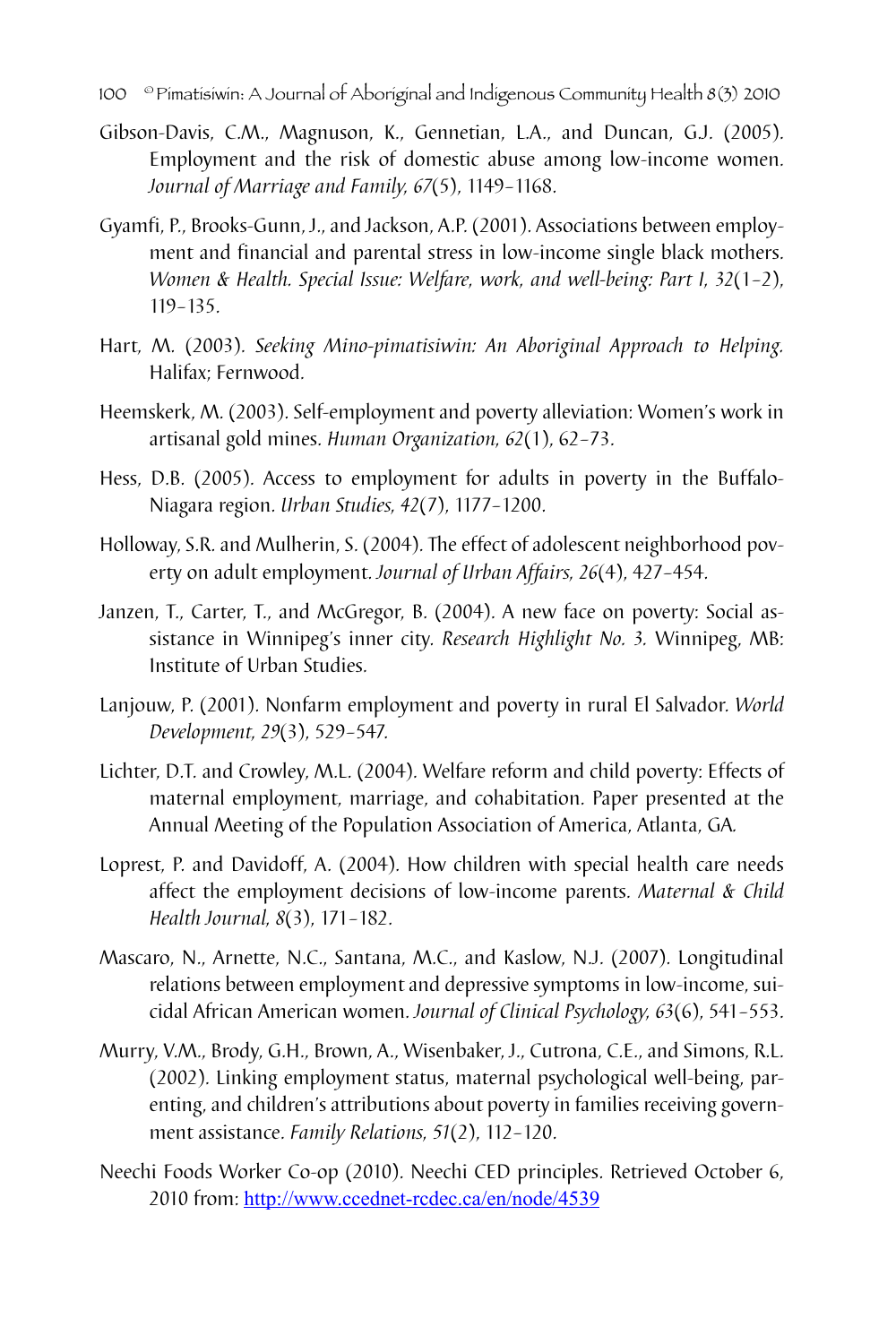- 100 © Pimatisiwin: A Journal of Aboriginal and Indigenous Community Health 8(3) 2010
- Gibson-Davis, C.M., Magnuson, K., Gennetian, L.A., and Duncan, G.J. (2005). Employment and the risk of domestic abuse among low-income women. *Journal of Marriage and Family, 67*(5), 1149–1168.
- Gyamfi, P., Brooks-Gunn, J., and Jackson, A.P. (2001). Associations between employment and financial and parental stress in low-income single black mothers. *Women & Health. Special Issue: Welfare, work, and well-being: Part I, 32*(1–2), 119–135.
- Hart, M. (2003). *Seeking Mino-pimatisiwin: An Aboriginal Approach to Helping.* Halifax; Fernwood.
- Heemskerk, M. (2003). Self-employment and poverty alleviation: Women's work in artisanal gold mines. *Human Organization, 62*(1), 62–73.
- Hess, D.B. (2005). Access to employment for adults in poverty in the Buffalo-Niagara region. *Urban Studies, 42*(7), 1177–1200.
- Holloway, S.R. and Mulherin, S. (2004). The effect of adolescent neighborhood poverty on adult employment. *Journal of Urban Affairs, 26*(4), 427–454.
- Janzen, T., Carter, T., and McGregor, B. (2004). A new face on poverty: Social assistance in Winnipeg's inner city. *Research Highlight No. 3.* Winnipeg, MB: Institute of Urban Studies.
- Lanjouw, P. (2001). Nonfarm employment and poverty in rural El Salvador. *World Development, 29*(3), 529–547.
- Lichter, D.T. and Crowley, M.L. (2004). Welfare reform and child poverty: Effects of maternal employment, marriage, and cohabitation. Paper presented at the Annual Meeting of the Population Association of America, Atlanta, GA*.*
- Loprest, P. and Davidoff, A. (2004). How children with special health care needs affect the employment decisions of low-income parents. *Maternal & Child Health Journal, 8*(3), 171–182.
- Mascaro, N., Arnette, N.C., Santana, M.C., and Kaslow, N.J. (2007). Longitudinal relations between employment and depressive symptoms in low-income, suicidal African American women. *Journal of Clinical Psychology, 63*(6), 541–553.
- Murry, V.M., Brody, G.H., Brown, A., Wisenbaker, J., Cutrona, C.E., and Simons, R.L. (2002). Linking employment status, maternal psychological well-being, parenting, and children's attributions about poverty in families receiving government assistance. *Family Relations, 51*(2), 112–120.
- Neechi Foods Worker Co-op (2010). Neechi CED principles. Retrieved October 6, 2010 from: http://www.ccednet-rcdec.ca/en/node/4539